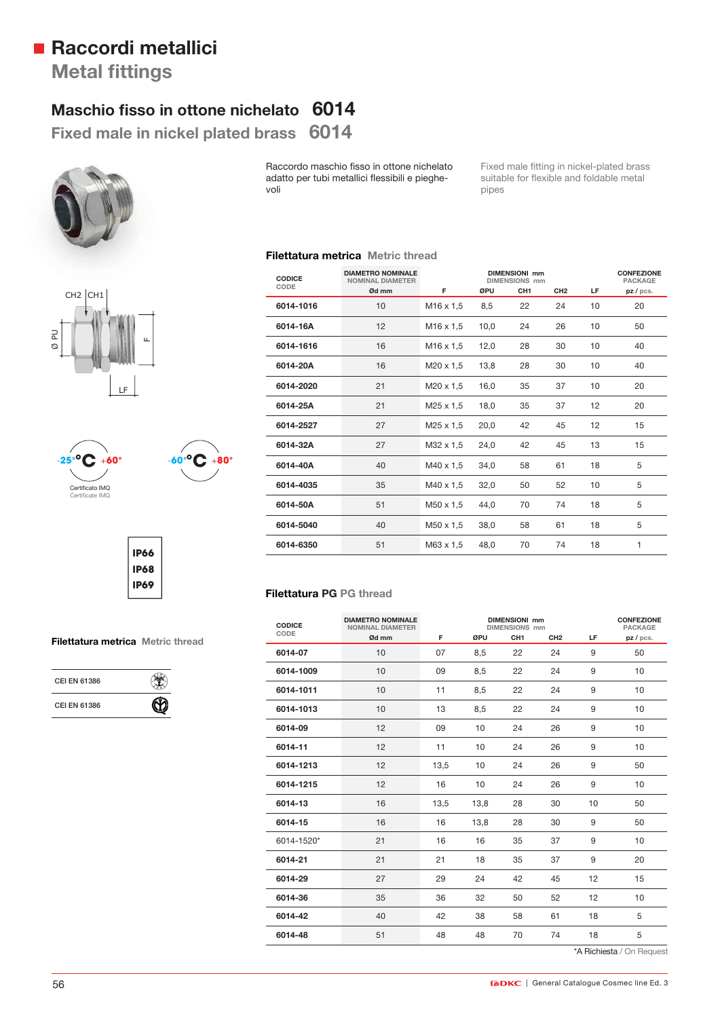# **Raccordi metallici**

**Metal fittings** 

## **Maschio fisso in ottone nichelato 6014**

**Fixed male in nickel plated brass 6014** 

voli







**CEI EN 61386** 

**CEI EN 61386**



**IP66 IP68 IP69**

> ۹  $\, \circledR} \,$

**Filettatura metrica Metric thread**

**CODICE CODE DIAMETRO NOMINALE DIMENSIONI mm CONFEZIONE NOMINAL DIAMETER Ød mm F ØPU CH1 CH2 LF pz / pcs. 6014-1016** 10 M16 x 1,5 8,5 22 24 10 20 **6014-16A** 12 M16 x 1,5 10,0 24 26 10 50 **6014-1616** 16 M16 x 1,5 12,0 28 30 10 40 **6014-20A** 16 M20 x 1,5 13,8 28 30 10 40 **6014-2020** 21 M20 x 1,5 16,0 35 37 10 20 **6014-25A** 21 M25 x 1,5 18,0 35 37 12 20 **6014-2527** 27 M25 x 1,5 20,0 42 45 12 15 **6014-32A** 27 M32 x 1,5 24,0 42 45 13 15 **6014-40A** 40 M40 x 1,5 34,0 58 61 18 5 **6014-4035** 35 M40 x 1,5 32,0 50 52 10 5 **6014-50A** 51 M50 x 1,5 44,0 70 74 18 5 **6014-5040** 40 M50 x 1,5 38,0 58 61 18 5

pipes

Fixed male fitting in nickel-plated brass suitable for flexible and foldable metal

**6014-6350** 51 M63 x 1,5 48,0 70 74 18 1

### **Filettatura PG PG thread**

**Filettatura metrica Metric thread**

Raccordo maschio fisso in ottone nichelato adatto per tubi metallici flessibili e pieghe-

| <b>CODICE</b> | <b>DIAMETRO NOMINALE</b><br><b>NOMINAL DIAMETER</b> | <b>DIMENSIONI mm</b><br><b>CONFEZIONE</b><br><b>DIMENSIONS</b> mm<br><b>PACKAGE</b> |      |                 |                 |     |         |
|---------------|-----------------------------------------------------|-------------------------------------------------------------------------------------|------|-----------------|-----------------|-----|---------|
| CODE          | Ød mm                                               | F                                                                                   | ØPU  | CH <sub>1</sub> | CH <sub>2</sub> | LF. | pz/pcs. |
| 6014-07       | 10                                                  | 07                                                                                  | 8,5  | 22              | 24              | 9   | 50      |
| 6014-1009     | 10                                                  | 09                                                                                  | 8,5  | 22              | 24              | 9   | 10      |
| 6014-1011     | 10                                                  | 11                                                                                  | 8,5  | 22              | 24              | 9   | 10      |
| 6014-1013     | 10                                                  | 13                                                                                  | 8,5  | 22              | 24              | 9   | 10      |
| 6014-09       | 12                                                  | 09                                                                                  | 10   | 24              | 26              | 9   | 10      |
| 6014-11       | 12                                                  | 11                                                                                  | 10   | 24              | 26              | 9   | 10      |
| 6014-1213     | 12                                                  | 13,5                                                                                | 10   | 24              | 26              | 9   | 50      |
| 6014-1215     | 12                                                  | 16                                                                                  | 10   | 24              | 26              | 9   | 10      |
| 6014-13       | 16                                                  | 13,5                                                                                | 13,8 | 28              | 30              | 10  | 50      |
| 6014-15       | 16                                                  | 16                                                                                  | 13,8 | 28              | 30              | 9   | 50      |
| 6014-1520*    | 21                                                  | 16                                                                                  | 16   | 35              | 37              | 9   | 10      |
| 6014-21       | 21                                                  | 21                                                                                  | 18   | 35              | 37              | 9   | 20      |
| 6014-29       | 27                                                  | 29                                                                                  | 24   | 42              | 45              | 12  | 15      |
| 6014-36       | 35                                                  | 36                                                                                  | 32   | 50              | 52              | 12  | 10      |
| 6014-42       | 40                                                  | 42                                                                                  | 38   | 58              | 61              | 18  | 5       |
| 6014-48       | 51                                                  | 48                                                                                  | 48   | 70              | 74              | 18  | 5       |

\*A Richiesta / On Request